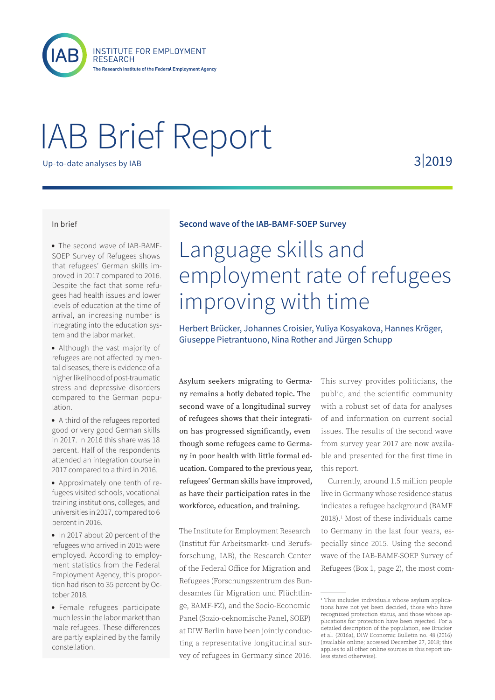

**INSTITUTE FOR EMPLOYMENT RESEARCH** The Research Institute of the Federal Employment Agency

# IAB Brief Report

Up-to-date analyses by IAB

3|2019

#### In brief

• The second wave of IAB-BAMF-SOEP Survey of Refugees shows that refugees' German skills improved in 2017 compared to 2016. Despite the fact that some refugees had health issues and lower levels of education at the time of arrival, an increasing number is integrating into the education system and the labor market.

• Although the vast majority of refugees are not affected by mental diseases, there is evidence of a higher likelihood of post-traumatic stress and depressive disorders compared to the German population.

• A third of the refugees reported good or very good German skills in 2017. In 2016 this share was 18 percent. Half of the respondents attended an integration course in 2017 compared to a third in 2016.

• Approximately one tenth of refugees visited schools, vocational training institutions, colleges, and universities in 2017, compared to 6 percent in 2016.

• In 2017 about 20 percent of the refugees who arrived in 2015 were employed. According to employment statistics from the Federal Employment Agency, this proportion had risen to 35 percent by October 2018.

• Female refugees participate much less in the labor market than male refugees. These differences are partly explained by the family constellation.

# **Second wave of the IAB-BAMF-SOEP Survey**

# Language skills and employment rate of refugees improving with time

Herbert Brücker, Johannes Croisier, Yuliya Kosyakova, Hannes Kröger, Giuseppe Pietrantuono, Nina Rother and Jürgen Schupp

Asylum seekers migrating to Germany remains a hotly debated topic. The second wave of a longitudinal survey of refugees shows that their integration has progressed significantly, even though some refugees came to Germany in poor health with little formal education. Compared to the previous year, refugees' German skills have improved, as have their participation rates in the workforce, education, and training.

The Institute for Employment Research (Institut für Arbeitsmarkt- und Berufsforschung, IAB), the Research Center of the Federal Office for Migration and Refugees (Forschungszentrum des Bundesamtes für Migration und Flüchtlinge, BAMF-FZ), and the Socio-Economic Panel (Sozio-oeknomische Panel, SOEP) at DIW Berlin have been jointly conducting a representative longitudinal survey of refugees in Germany since 2016.

This survey provides politicians, the public, and the scientific community with a robust set of data for analyses of and information on current social issues. The results of the second wave from survey year 2017 are now available and presented for the first time in this report.

Currently, around 1.5 million people live in Germany whose residence status indicates a refugee background (BAMF 2018).1 Most of these individuals came to Germany in the last four years, especially since 2015. Using the second wave of the IAB-BAMF-SOEP Survey of Refugees (Box 1, page 2), the most com-

<sup>1</sup> This includes individuals whose asylum applications have not yet been decided, those who have recognized protection status, and those whose applications for protection have been rejected. For a detailed description of the population, see Brücker et al. (2016a), DIW Economic Bulletin no. 48 (2016) (available online; accessed December 27, 2018; this applies to all other online sources in this report unless stated otherwise).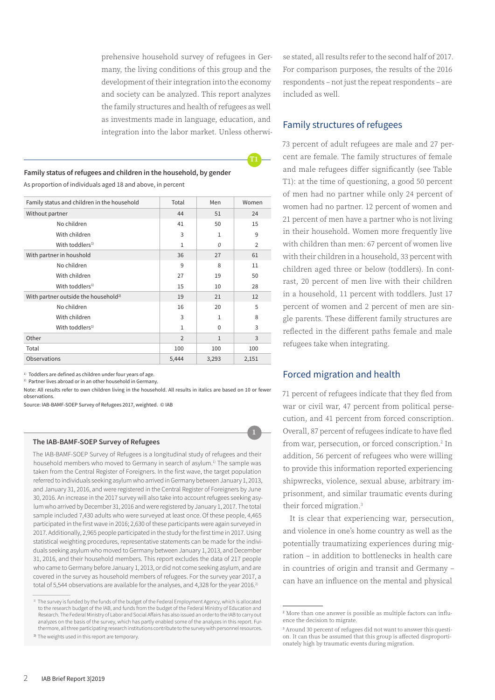prehensive household survey of refugees in Germany, the living conditions of this group and the development of their integration into the economy and society can be analyzed. This report analyzes the family structures and health of refugees as well as investments made in language, education, and integration into the labor market. Unless otherwi-

**T1**

# **Family status of refugees and children in the household, by gender**

As proportion of individuals aged 18 and above, in percent

| Family status and children in the household      | Total          | Men          | Women          |
|--------------------------------------------------|----------------|--------------|----------------|
| Without partner                                  | 44             | 51           | 24             |
| No children                                      | 41             | 50           | 15             |
| With children                                    | 3              | 1            | 9              |
| With toddlers <sup>1)</sup>                      | 1              | 0            | $\overline{2}$ |
| With partner in houshold                         | 36             | 27           | 61             |
| No children                                      | 9              | 8            | 11             |
| With children                                    | 27             | 19           | 50             |
| With toddlers <sup>1)</sup>                      | 15             | 10           | 28             |
| With partner outside the household <sup>2)</sup> | 19             | 21           | 12             |
| No children                                      | 16             | 20           | 5              |
| With children                                    | 3              | 1            | 8              |
| With toddlers <sup>1)</sup>                      | $\mathbf{1}$   | $\Omega$     | 3              |
| Other                                            | $\overline{2}$ | $\mathbf{1}$ | 3              |
| Total                                            | 100            | 100          | 100            |
| Observations                                     | 5,444          | 3,293        | 2,151          |

 $1)$  Toddlers are defined as children under four years of age.

 $2)$  Partner lives abroad or in an other household in Germany.

Note: All results refer to own children living in the household. All results in italics are based on 10 or fewer observations.

Source: IAB-BAMF-SOEP Survey of Refugees 2017, weighted. © IAB

#### **The IAB-BAMF-SOEP Survey of Refugees**

The IAB-BAMF-SOEP Survey of Refugees is a longitudinal study of refugees and their household members who moved to Germany in search of asylum.<sup>1)</sup> The sample was taken from the Central Register of Foreigners. In the first wave, the target population referred to individuals seeking asylum who arrived in Germany between January 1, 2013, and January 31, 2016, and were registered in the Central Register of Foreigners by June 30, 2016. An increase in the 2017 survey will also take into account refugees seeking asylum who arrived by December 31, 2016 and were registered by January 1, 2017. The total sample included 7,430 adults who were surveyed at least once. Of these people, 4,465 participated in the first wave in 2016; 2,630 of these participants were again surveyed in 2017. Additionally, 2,965 people participated in the study for the first time in 2017. Using statistical weighting procedures, representative statements can be made for the individuals seeking asylum who moved to Germany between January 1, 2013, and December 31, 2016, and their household members. This report excludes the data of 217 people who came to Germany before January 1, 2013, or did not come seeking asylum, and are covered in the survey as household members of refugees. For the survey year 2017, a total of 5,544 observations are available for the analyses, and 4,328 for the year 2016.<sup>2)</sup>

2) The weights used in this report are temporary.

se stated, all results refer to the second half of 2017. For comparison purposes, the results of the 2016 respondents – not just the repeat respondents – are included as well.

#### Family structures of refugees

73 percent of adult refugees are male and 27 percent are female. The family structures of female and male refugees differ significantly (see Table T1): at the time of questioning, a good 50 percent of men had no partner while only 24 percent of women had no partner. 12 percent of women and 21 percent of men have a partner who is not living in their household. Women more frequently live with children than men: 67 percent of women live with their children in a household, 33 percent with children aged three or below (toddlers). In contrast, 20 percent of men live with their children in a household, 11 percent with toddlers. Just 17 percent of women and 2 percent of men are single parents. These different family structures are reflected in the different paths female and male refugees take when integrating.

#### Forced migration and health

71 percent of refugees indicate that they fled from war or civil war, 47 percent from political persecution, and 41 percent from forced conscription. Overall, 87 percent of refugees indicate to have fled from war, persecution, or forced conscription.<sup>2</sup> In addition, 56 percent of refugees who were willing to provide this information reported experiencing shipwrecks, violence, sexual abuse, arbitrary imprisonment, and similar traumatic events during their forced migration.3

It is clear that experiencing war, persecution, and violence in one's home country as well as the potentially traumatizing experiences during migration – in addition to bottlenecks in health care in countries of origin and transit and Germany – can have an influence on the mental and physical

<sup>&</sup>lt;sup>1)</sup> The survey is funded by the funds of the budget of the Federal Employment Agency, which is allocated to the research budget of the IAB, and funds from the budget of the Federal Ministry of Education and Research. The Federal Ministry of Labor and Social Affairs has also issued an order to the IAB to carry out analyzes on the basis of the survey, which has partly enabled some of the analyzes in this report. Furthermore, all three participating research institutions contribute to the survey with personnel resources.

<sup>2</sup> More than one answer is possible as multiple factors can influence the decision to migrate.

<sup>3</sup> Around 30 percent of refugees did not want to answer this question. It can thus be assumed that this group is affected disproportionately high by traumatic events during migration.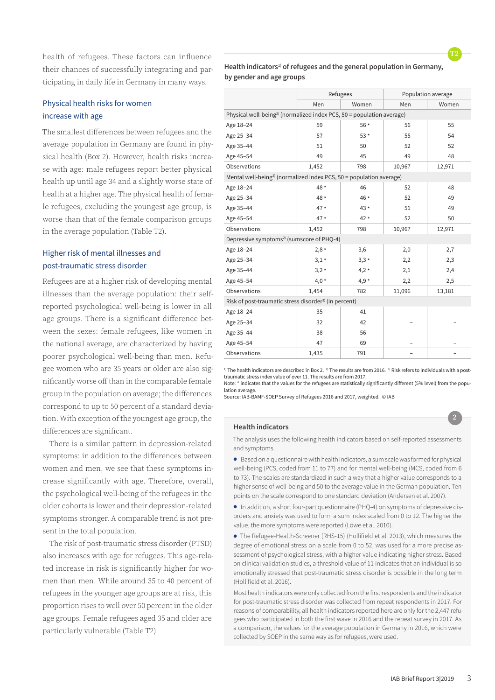health of refugees. These factors can influence their chances of successfully integrating and participating in daily life in Germany in many ways.

# Physical health risks for women increase with age

The smallest differences between refugees and the average population in Germany are found in physical health (Box 2). However, health risks increase with age: male refugees report better physical health up until age 34 and a slightly worse state of health at a higher age. The physical health of female refugees, excluding the youngest age group, is worse than that of the female comparison groups in the average population (Table T2).

# Higher risk of mental illnesses and post-traumatic stress disorder

Refugees are at a higher risk of developing mental illnesses than the average population: their selfreported psychological well-being is lower in all age groups. There is a significant difference between the sexes: female refugees, like women in the national average, are characterized by having poorer psychological well-being than men. Refugee women who are 35 years or older are also significantly worse off than in the comparable female group in the population on average; the differences correspond to up to 50 percent of a standard deviation. With exception of the youngest age group, the differences are significant.

There is a similar pattern in depression-related symptoms: in addition to the differences between women and men, we see that these symptoms increase significantly with age. Therefore, overall, the psychological well-being of the refugees in the older cohorts is lower and their depression-related symptoms stronger. A comparable trend is not present in the total population.

The risk of post-traumatic stress disorder (PTSD) also increases with age for refugees. This age-related increase in risk is significantly higher for women than men. While around 35 to 40 percent of refugees in the younger age groups are at risk, this proportion rises to well over 50 percent in the older age groups. Female refugees aged 35 and older are particularly vulnerable (Table T2).

**Health indicators**1) **of refugees and the general population in Germany, by gender and age groups**

**T2**

**2**

|                                                                                   | Refugees |        |        | Population average |  |  |  |
|-----------------------------------------------------------------------------------|----------|--------|--------|--------------------|--|--|--|
|                                                                                   | Men      | Women  | Men    | Women              |  |  |  |
| Physical well-being <sup>2)</sup> (normalized index PCS, 50 = population average) |          |        |        |                    |  |  |  |
| Age 18-24                                                                         | 59       | 56 *   | 56     | 55                 |  |  |  |
| Age 25-34                                                                         | 57       | $53*$  | 55     | 54                 |  |  |  |
| Age 35-44                                                                         | 51       | 50     | 52     | 52                 |  |  |  |
| Age 45-54                                                                         | 49       | 45     | 49     | 48                 |  |  |  |
| Observations                                                                      | 1,452    | 798    | 10,967 | 12,971             |  |  |  |
| Mental well-being <sup>2)</sup> (normalized index PCS, 50 = population average)   |          |        |        |                    |  |  |  |
| Age 18-24                                                                         | 48 *     | 46     | 52     | 48                 |  |  |  |
| Age 25-34                                                                         | 48 *     | 46 *   | 52     | 49                 |  |  |  |
| Age 35-44                                                                         | $47*$    | $43*$  | 51     | 49                 |  |  |  |
| Age 45-54                                                                         | $47*$    | $42*$  | 52     | 50                 |  |  |  |
| Observations                                                                      | 1,452    | 798    | 10,967 | 12,971             |  |  |  |
| Depressive symptoms <sup>2)</sup> (sumscore of PHQ-4)                             |          |        |        |                    |  |  |  |
| Age 18-24                                                                         | $2,8*$   | 3,6    | 2,0    | 2,7                |  |  |  |
| Age 25-34                                                                         | $3,1*$   | $3,3*$ | 2,2    | 2,3                |  |  |  |
| Age 35-44                                                                         | $3,2*$   | $4,2*$ | 2,1    | 2,4                |  |  |  |
| Age 45-54                                                                         | $4,0*$   | $4,9*$ | 2,2    | 2,5                |  |  |  |
| Observations                                                                      | 1,454    | 782    | 11,096 | 13,181             |  |  |  |
| Risk of post-traumatic stress disorder <sup>3)</sup> (in percent)                 |          |        |        |                    |  |  |  |
| Age 18-24                                                                         | 35       | 41     |        |                    |  |  |  |
| Age 25-34                                                                         | 32       | 42     |        |                    |  |  |  |
| Age 35-44                                                                         | 38       | 56     |        |                    |  |  |  |
| Age 45-54                                                                         | 47       | 69     |        |                    |  |  |  |
| Observations                                                                      | 1,435    | 791    |        |                    |  |  |  |

<sup>1)</sup> The health indicators are described in Box 2. <sup>2)</sup> The results are from 2016. <sup>3)</sup> Risk refers to individuals with a posttraumatic stress index value of over 11. The results are from 2017. Note: \* indicates that the values for the refugees are statistically significantly different (5% level) from the popu-

lation average.

Source: IAB-BAMF-SOEP Survey of Refugees 2016 and 2017, weighted. © IAB

#### **Health indicators**

The analysis uses the following health indicators based on self-reported assessments and symptoms.

• Based on a questionnaire with health indicators, a sum scale was formed for physical well-being (PCS, coded from 11 to 77) and for mental well-being (MCS, coded from 6 to 73). The scales are standardized in such a way that a higher value corresponds to a higher sense of well-being and 50 to the average value in the German population. Ten points on the scale correspond to one standard deviation (Andersen et al. 2007).

• In addition, a short four-part questionnaire (PHQ-4) on symptoms of depressive disorders and anxiety was used to form a sum index scaled from 0 to 12. The higher the value, the more symptoms were reported (Löwe et al. 2010).

• The Refugee-Health-Screener (RHS-15) (Hollifield et al. 2013), which measures the degree of emotional stress on a scale from 0 to 52, was used for a more precise assessment of psychological stress, with a higher value indicating higher stress. Based on clinical validation studies, a threshold value of 11 indicates that an individual is so emotionally stressed that post-traumatic stress disorder is possible in the long term (Hollifield et al. 2016).

Most health indicators were only collected from the first respondents and the indicator for post-traumatic stress disorder was collected from repeat respondents in 2017. For reasons of comparability, all health indicators reported here are only for the 2,447 refugees who participated in both the first wave in 2016 and the repeat survey in 2017. As a comparison, the values for the average population in Germany in 2016, which were collected by SOEP in the same way as for refugees, were used.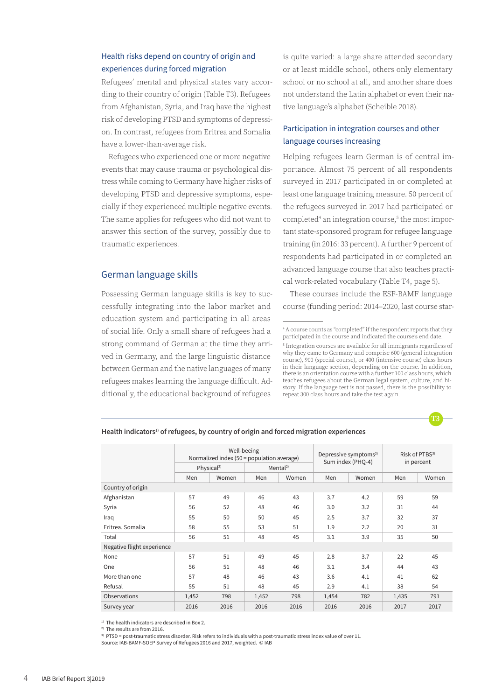# Health risks depend on country of origin and experiences during forced migration

Refugees' mental and physical states vary according to their country of origin (Table T3). Refugees from Afghanistan, Syria, and Iraq have the highest risk of developing PTSD and symptoms of depression. In contrast, refugees from Eritrea and Somalia have a lower-than-average risk.

Refugees who experienced one or more negative events that may cause trauma or psychological distress while coming to Germany have higher risks of developing PTSD and depressive symptoms, especially if they experienced multiple negative events. The same applies for refugees who did not want to answer this section of the survey, possibly due to traumatic experiences.

#### German language skills

Possessing German language skills is key to successfully integrating into the labor market and education system and participating in all areas of social life. Only a small share of refugees had a strong command of German at the time they arrived in Germany, and the large linguistic distance between German and the native languages of many refugees makes learning the language difficult. Additionally, the educational background of refugees

is quite varied: a large share attended secondary or at least middle school, others only elementary school or no school at all, and another share does not understand the Latin alphabet or even their native language's alphabet (Scheible 2018).

# Participation in integration courses and other language courses increasing

Helping refugees learn German is of central importance. Almost 75 percent of all respondents surveyed in 2017 participated in or completed at least one language training measure. 50 percent of the refugees surveyed in 2017 had participated or completed<sup>4</sup> an integration course,<sup>5</sup> the most important state-sponsored program for refugee language training (in 2016: 33 percent). A further 9 percent of respondents had participated in or completed an advanced language course that also teaches practical work-related vocabulary (Table T4, page 5).

These courses include the ESF-BAMF language course (funding period: 2014–2020, last course star-

<sup>5</sup> Integration courses are available for all immigrants regardless of why they came to Germany and comprise 600 (general integration course), 900 (special course), or 400 (intensive course) class hours in their language section, depending on the course. In addition, there is an orientation course with a further 100 class hours, which teaches refugees about the German legal system, culture, and history. If the language test is not passed, there is the possibility to repeat 300 class hours and take the test again.



|                            | Well-beeing<br>Normalized index (50 = population average) |       |       | Depressive symptoms <sup>2)</sup><br>Sum index (PHQ-4) |       | Risk of PTBS <sup>3)</sup><br>in percent |       |       |  |
|----------------------------|-----------------------------------------------------------|-------|-------|--------------------------------------------------------|-------|------------------------------------------|-------|-------|--|
|                            | Physical <sup>2)</sup>                                    |       |       | Mental <sup>2)</sup>                                   |       |                                          |       |       |  |
|                            | Men                                                       | Women | Men   | Women                                                  | Men   | Women                                    | Men   | Women |  |
| Country of origin          |                                                           |       |       |                                                        |       |                                          |       |       |  |
| Afghanistan                | 57                                                        | 49    | 46    | 43                                                     | 3.7   | 4.2                                      | 59    | 59    |  |
| Syria                      | 56                                                        | 52    | 48    | 46                                                     | 3.0   | 3.2                                      | 31    | 44    |  |
| Iraq                       | 55                                                        | 50    | 50    | 45                                                     | 2.5   | 3.7                                      | 32    | 37    |  |
| Eritrea. Somalia           | 58                                                        | 55    | 53    | 51                                                     | 1.9   | 2.2                                      | 20    | 31    |  |
| Total                      | 56                                                        | 51    | 48    | 45                                                     | 3.1   | 3.9                                      | 35    | 50    |  |
| Negative flight experience |                                                           |       |       |                                                        |       |                                          |       |       |  |
| None                       | 57                                                        | 51    | 49    | 45                                                     | 2.8   | 3.7                                      | 22    | 45    |  |
| One                        | 56                                                        | 51    | 48    | 46                                                     | 3.1   | 3.4                                      | 44    | 43    |  |
| More than one              | 57                                                        | 48    | 46    | 43                                                     | 3.6   | 4.1                                      | 41    | 62    |  |
| Refusal                    | 55                                                        | 51    | 48    | 45                                                     | 2.9   | 4.1                                      | 38    | 54    |  |
| Observations               | 1,452                                                     | 798   | 1,452 | 798                                                    | 1,454 | 782                                      | 1,435 | 791   |  |
| Survey year                | 2016                                                      | 2016  | 2016  | 2016                                                   | 2016  | 2016                                     | 2017  | 2017  |  |

#### **Health indicators**1) **of refugees, by country of origin and forced migration experiences**

<sup>1)</sup> The health indicators are described in Box 2.

2) The results are from 2016.

 $3)$  PTSD = post-traumatic stress disorder. Risk refers to individuals with a post-traumatic stress index value of over 11.

Source: IAB-BAMF-SOEP Survey of Refugees 2016 and 2017, weighted. © IAB

<sup>4</sup> A course counts as "completed" if the respondent reports that they participated in the course and indicated the course's end date.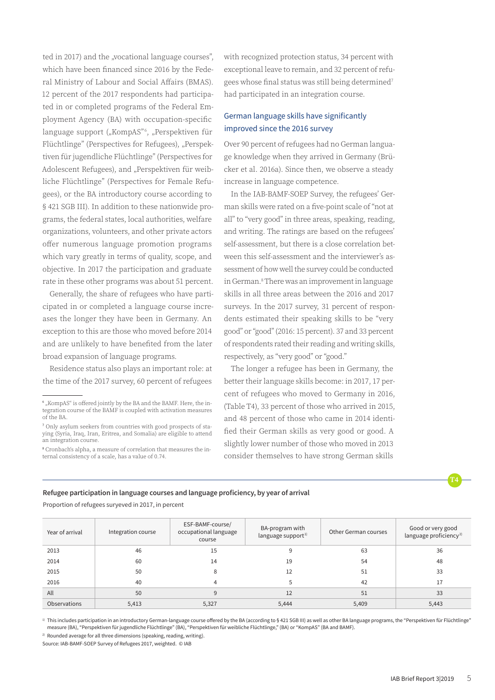ted in 2017) and the "vocational language courses", which have been financed since 2016 by the Federal Ministry of Labour and Social Affairs (BMAS). 12 percent of the 2017 respondents had participated in or completed programs of the Federal Employment Agency (BA) with occupation-specific language support ("KompAS"<sup>6</sup>, "Perspektiven für Flüchtlinge" (Perspectives for Refugees), "Perspektiven für jugendliche Flüchtlinge" (Perspectives for Adolescent Refugees), and "Perspektiven für weibliche Flüchtlinge" (Perspectives for Female Refugees), or the BA introductory course according to § 421 SGB III). In addition to these nationwide programs, the federal states, local authorities, welfare organizations, volunteers, and other private actors offer numerous language promotion programs which vary greatly in terms of quality, scope, and objective. In 2017 the participation and graduate rate in these other programs was about 51 percent.

Generally, the share of refugees who have participated in or completed a language course increases the longer they have been in Germany. An exception to this are those who moved before 2014 and are unlikely to have benefited from the later broad expansion of language programs.

Residence status also plays an important role: at the time of the 2017 survey, 60 percent of refugees with recognized protection status, 34 percent with exceptional leave to remain, and 32 percent of refugees whose final status was still being determined<sup>7</sup> had participated in an integration course.

# German language skills have significantly improved since the 2016 survey

Over 90 percent of refugees had no German language knowledge when they arrived in Germany (Brücker et al. 2016a). Since then, we observe a steady increase in language competence.

In the IAB-BAMF-SOEP Survey, the refugees' German skills were rated on a five-point scale of "not at all" to "very good" in three areas, speaking, reading, and writing. The ratings are based on the refugees' self-assessment, but there is a close correlation between this self-assessment and the interviewer's assessment of how well the survey could be conducted in German.8 There was an improvement in language skills in all three areas between the 2016 and 2017 surveys. In the 2017 survey, 31 percent of respondents estimated their speaking skills to be "very good" or "good" (2016: 15 percent). 37 and 33 percent of respondents rated their reading and writing skills, respectively, as "very good" or "good."

The longer a refugee has been in Germany, the better their language skills become: in 2017, 17 percent of refugees who moved to Germany in 2016, (Table T4), 33 percent of those who arrived in 2015, and 48 percent of those who came in 2014 identified their German skills as very good or good. A slightly lower number of those who moved in 2013 consider themselves to have strong German skills

**Refugee participation in language courses and language proficiency, by year of arrival**

Proportion of refugees suryeved in 2017, in percent

| Year of arrival | Integration course | ESF-BAMF-course/<br>occupational language<br>course | BA-program with<br>language support <sup>1)</sup> | Other German courses | Good or very good<br>language proficiency <sup>2)</sup> |
|-----------------|--------------------|-----------------------------------------------------|---------------------------------------------------|----------------------|---------------------------------------------------------|
| 2013            | 46                 | 15                                                  |                                                   | 63                   | 36                                                      |
| 2014            | 60                 | 14                                                  | 19                                                | 54                   | 48                                                      |
| 2015            | 50                 | 8                                                   | 12                                                | 51                   | 33                                                      |
| 2016            | 40                 |                                                     |                                                   | 42                   | 17                                                      |
| All             | 50                 | 9                                                   | 12                                                | 51                   | 33                                                      |
| Observations    | 5,413              | 5,327                                               | 5,444                                             | 5,409                | 5,443                                                   |

1) This includes participation in an introductory German-language course offered by the BA (according to § 421 SGB III) as well as other BA language programs, the "Perspektiven für Flüchtlinge" measure (BA), "Perspektiven für jugendliche Flüchtlinge" (BA), "Perspektiven für weibliche Flüchtlinge," (BA) or "KompAS" (BA and BAMF).

 $2)$  Rounded average for all three dimensions (speaking, reading, writing).

Source: IAB-BAMF-SOEP Survey of Refugees 2017, weighted. © IAB

 $\degree$  "KompAS" is offered jointly by the BA and the BAMF. Here, the integration course of the BAMF is coupled with activation measures of the BA.

<sup>7</sup> Only asylum seekers from countries with good prospects of staying (Syria, Iraq, Iran, Eritrea, and Somalia) are eligible to attend an integration course.

<sup>8</sup> Cronbach's alpha, a measure of correlation that measures the internal consistency of a scale, has a value of 0.74.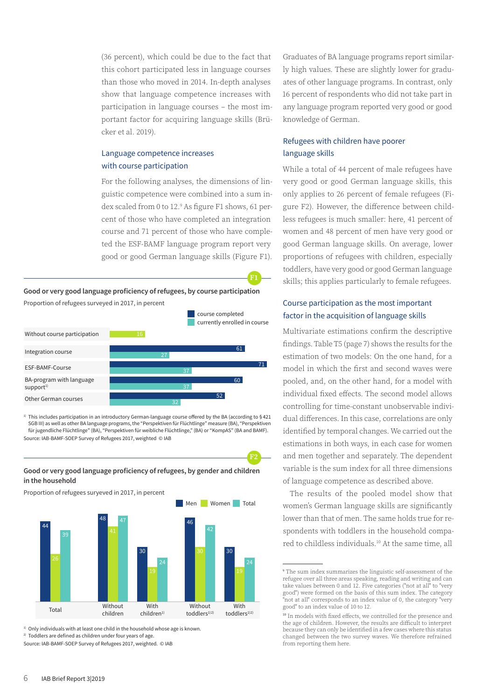(36 percent), which could be due to the fact that this cohort participated less in language courses than those who moved in 2014. In-depth analyses show that language competence increases with participation in language courses – the most important factor for acquiring language skills (Brücker et al. 2019).

# Language competence increases with course participation

For the following analyses, the dimensions of linguistic competence were combined into a sum index scaled from 0 to 12.9 As figure F1 shows, 61 percent of those who have completed an integration course and 71 percent of those who have completed the ESF-BAMF language program report very good or good German language skills (Figure F1).

**F1**

**F2**

#### **Good or very good language proficiency of refugees, by course participation**



<sup>1)</sup> This includes participation in an introductory German-language course offered by the BA (according to § 421 SGB III) as well as other BA language programs, the "Perspektiven für Flüchtlinge" measure (BA), "Perspektiven für jugendliche Flüchtlinge" (BA), "Perspektiven für weibliche Flüchtlinge," (BA) or "KompAS" (BA and BAMF).

Source: IAB-BAMF-SOEP Survey of Refugees 2017, weighted © IAB

#### **Good or very good language proficiency of refugees, by gender and children in the household**

Proportion of refugees suryeved in 2017, in percent



 $1)$  Only individuals with at least one child in the household whose age is known.

<sup>2)</sup> Toddlers are defined as children under four years of age.

Source: IAB-BAMF-SOEP Survey of Refugees 2017, weighted. © IAB

Graduates of BA language programs report similarly high values. These are slightly lower for graduates of other language programs. In contrast, only 16 percent of respondents who did not take part in any language program reported very good or good knowledge of German.

# Refugees with children have poorer language skills

While a total of 44 percent of male refugees have very good or good German language skills, this only applies to 26 percent of female refugees (Figure F2). However, the difference between childless refugees is much smaller: here, 41 percent of women and 48 percent of men have very good or good German language skills. On average, lower proportions of refugees with children, especially toddlers, have very good or good German language skills; this applies particularly to female refugees.

# Course participation as the most important factor in the acquisition of language skills

Multivariate estimations confirm the descriptive findings. Table T5 (page 7) shows the results for the estimation of two models: On the one hand, for a model in which the first and second waves were pooled, and, on the other hand, for a model with individual fixed effects. The second model allows controlling for time-constant unobservable individual differences. In this case, correlations are only identified by temporal changes. We carried out the estimations in both ways, in each case for women and men together and separately. The dependent variable is the sum index for all three dimensions of language competence as described above.

The results of the pooled model show that women's German language skills are significantly lower than that of men. The same holds true for respondents with toddlers in the household compared to childless individuals.10 At the same time, all

<sup>9</sup> The sum index summarizes the linguistic self-assessment of the refugee over all three areas speaking, reading and writing and can take values between 0 and 12. Five categories ("not at all" to "very good") were formed on the basis of this sum index. The category "not at all" corresponds to an index value of 0, the category "very good" to an index value of 10 to 12.

<sup>&</sup>lt;sup>10</sup> In models with fixed effects, we controlled for the presence and the age of children. However, the results are difficult to interpret because they can only be identified in a few cases where this status changed between the two survey waves. We therefore refrained from reporting them here.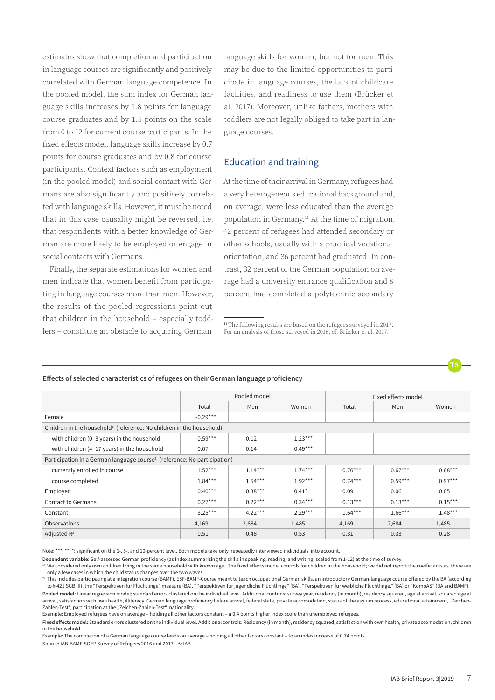estimates show that completion and participation in language courses are significantly and positively correlated with German language competence. In the pooled model, the sum index for German language skills increases by 1.8 points for language course graduates and by 1.5 points on the scale from 0 to 12 for current course participants. In the fixed effects model, language skills increase by 0.7 points for course graduates and by 0.8 for course participants. Context factors such as employment (in the pooled model) and social contact with Germans are also significantly and positively correlated with language skills. However, it must be noted that in this case causality might be reversed, i.e. that respondents with a better knowledge of German are more likely to be employed or engage in social contacts with Germans.

Finally, the separate estimations for women and men indicate that women benefit from participating in language courses more than men. However, the results of the pooled regressions point out that children in the household – especially toddlers – constitute an obstacle to acquiring German

language skills for women, but not for men. This may be due to the limited opportunities to participate in language courses, the lack of childcare facilities, and readiness to use them (Brücker et al. 2017). Moreover, unlike fathers, mothers with toddlers are not legally obliged to take part in language courses.

## Education and training

At the time of their arrival in Germany, refugees had a very heterogeneous educational background and, on average, were less educated than the average population in Germany.<sup>11</sup> At the time of migration, 42 percent of refugees had attended secondary or other schools, usually with a practical vocational orientation, and 36 percent had graduated. In contrast, 32 percent of the German population on average had a university entrance qualification and 8 percent had completed a polytechnic secondary

|                                                                                       | Pooled model |           |            | Fixed effects model |           |           |  |
|---------------------------------------------------------------------------------------|--------------|-----------|------------|---------------------|-----------|-----------|--|
|                                                                                       | Total        | Men       | Women      | Total               | Men       | Women     |  |
| Female                                                                                | $-0.29***$   |           |            |                     |           |           |  |
| Children in the household <sup>1)</sup> (reference: No children in the household)     |              |           |            |                     |           |           |  |
| with children (0-3 years) in the household                                            | $-0.59***$   | $-0.12$   | $-1.23***$ |                     |           |           |  |
| with children (4-17 years) in the household                                           | $-0.07$      | 0.14      | $-0.49***$ |                     |           |           |  |
| Participation in a German language course <sup>2)</sup> (reference: No participation) |              |           |            |                     |           |           |  |
| currently enrolled in course                                                          | $1.52***$    | $1.14***$ | $1.74***$  | $0.76***$           | $0.67***$ | $0.88***$ |  |
| course completed                                                                      | $1.84***$    | $1.54***$ | $1.92***$  | $0.74***$           | $0.59***$ | $0.97***$ |  |
| Employed                                                                              | $0.40***$    | $0.38***$ | $0.41*$    | 0.09                | 0.06      | 0.05      |  |
| Contact to Germans                                                                    | $0.27***$    | $0.22***$ | $0.34***$  | $0.13***$           | $0.13***$ | $0.15***$ |  |
| Constant                                                                              | $3.25***$    | $4.22***$ | $2.29***$  | $1.64***$           | $1.66***$ | $1.48***$ |  |
| <b>Observations</b>                                                                   | 4,169        | 2,684     | 1,485      | 4,169               | 2,684     | 1,485     |  |
| Adjusted R <sup>2</sup>                                                               | 0.51         | 0.48      | 0.53       | 0.31                | 0.33      | 0.28      |  |

#### **Effects of selected characteristics of refugees on their German language proficiency**

Note: \*\*\*, \*\*, \*: significant on the 1-, 5-, and 10-percent level. Both models take only repeatedly interviewed individuals into account.

**Dependent variable:** Self-assessed German proficiency (as Index summarizing the skills in speaking, reading, and writing, scaled from 1-12) at the time of survey.

 $^{\rm 1)}$  We considered only own children living in the same household with known age. The fixed effects model controls for children in the household; we did not report the coefficiants as there are only a few cases in which the child status changes over the two waves.

 $^{2)}$  This includes participating at a integration course (BAMF), ESF-BAMF-Course meant to teach occupational German skills, an introductory German-language course offered by the BA (according to § 421 SGB III), the "Perspektiven für Flüchtlinge" measure (BA), "Perspektiven für jugendliche Flüchtlinge" (BA), "Perspektiven für weibliche Flüchtlinge," (BA) or "KompAS" (BA and BAMF).

Pooled model: Linear regression model; standard errors clustered on the individual level. Additional controls: survey year, residency (in month), residency squared, age at arrival, squared age at arrival, satisfaction with own health, illiteracy, German language proficiency before arrival, federal state, private accomodation, status of the asylum process, educational attainment, "Zeichen-Zahlen-Test", participation at the "Zeichen-Zahlen-Test", nationality.

Example: Employed refugees have on average – holding all other factors constant – a 0.4 points higher index score than unemployed refugees.

Fixed effects model: Standard errors clustered on the individual level. Additional controls: Residency (in month), residency squared, satisfaction with own health, private accomodation, children in the household.

Example: The completion of a German language course leads on average – holding all other factors constant – to an index increase of 0.74 points. Source: IAB-BAMF-SOEP Survey of Refugees 2016 and 2017. © IAB

**T5**

<sup>&</sup>lt;sup>11</sup> The following results are based on the refugees surveyed in 2017. For an analysis of those surveyed in 2016, cf. Brücker et al. 2017.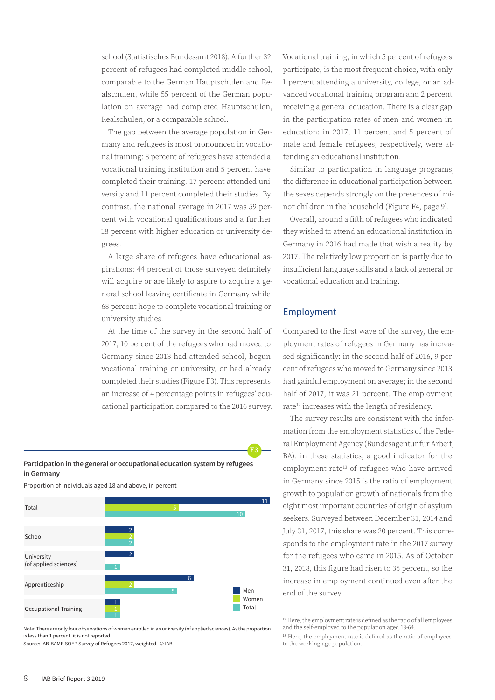school (Statistisches Bundesamt 2018). A further 32 percent of refugees had completed middle school, comparable to the German Hauptschulen and Realschulen, while 55 percent of the German population on average had completed Hauptschulen, Realschulen, or a comparable school.

The gap between the average population in Germany and refugees is most pronounced in vocational training: 8 percent of refugees have attended a vocational training institution and 5 percent have completed their training. 17 percent attended university and 11 percent completed their studies. By contrast, the national average in 2017 was 59 percent with vocational qualifications and a further 18 percent with higher education or university degrees.

A large share of refugees have educational aspirations: 44 percent of those surveyed definitely will acquire or are likely to aspire to acquire a general school leaving certificate in Germany while 68 percent hope to complete vocational training or university studies.

At the time of the survey in the second half of 2017, 10 percent of the refugees who had moved to Germany since 2013 had attended school, begun vocational training or university, or had already completed their studies (Figure F3). This represents an increase of 4 percentage points in refugees' educational participation compared to the 2016 survey.



Proportion of individuals aged 18 and above, in percent



Note: There are only four observations of women enrolled in an university (of applied sciences). As the proportion is less than 1 percent, it is not reported.

Source: IAB-BAMF-SOEP Survey of Refugees 2017, weighted. © IAB

Vocational training, in which 5 percent of refugees participate, is the most frequent choice, with only 1 percent attending a university, college, or an advanced vocational training program and 2 percent receiving a general education. There is a clear gap in the participation rates of men and women in education: in 2017, 11 percent and 5 percent of male and female refugees, respectively, were attending an educational institution.

Similar to participation in language programs, the difference in educational participation between the sexes depends strongly on the presences of minor children in the household (Figure F4, page 9).

Overall, around a fifth of refugees who indicated they wished to attend an educational institution in Germany in 2016 had made that wish a reality by 2017. The relatively low proportion is partly due to insufficient language skills and a lack of general or vocational education and training.

#### Employment

**F3**

Compared to the first wave of the survey, the employment rates of refugees in Germany has increased significantly: in the second half of 2016, 9 percent of refugees who moved to Germany since 2013 had gainful employment on average; in the second half of 2017, it was 21 percent. The employment rate<sup>12</sup> increases with the length of residency.

The survey results are consistent with the information from the employment statistics of the Federal Employment Agency (Bundesagentur für Arbeit, BA): in these statistics, a good indicator for the employment rate<sup>13</sup> of refugees who have arrived in Germany since 2015 is the ratio of employment growth to population growth of nationals from the eight most important countries of origin of asylum seekers. Surveyed between December 31, 2014 and July 31, 2017, this share was 20 percent. This corresponds to the employment rate in the 2017 survey for the refugees who came in 2015. As of October 31, 2018, this figure had risen to 35 percent, so the increase in employment continued even after the end of the survey.

<sup>&</sup>lt;sup>12</sup> Here, the employment rate is defined as the ratio of all employees and the self-employed to the population aged 18-64.

<sup>&</sup>lt;sup>13</sup> Here, the employment rate is defined as the ratio of employees to the working-age population.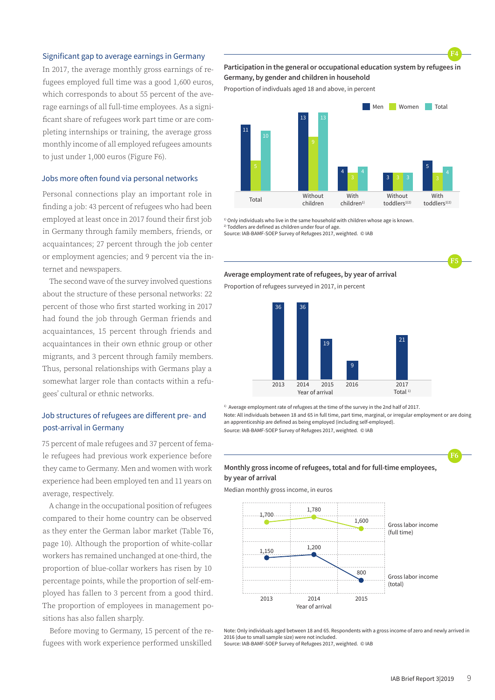#### Significant gap to average earnings in Germany

In 2017, the average monthly gross earnings of refugees employed full time was a good 1,600 euros, which corresponds to about 55 percent of the average earnings of all full-time employees. As a significant share of refugees work part time or are completing internships or training, the average gross monthly income of all employed refugees amounts to just under 1,000 euros (Figure F6).

#### Jobs more often found via personal networks

Personal connections play an important role in finding a job: 43 percent of refugees who had been employed at least once in 2017 found their first job in Germany through family members, friends, or acquaintances; 27 percent through the job center or employment agencies; and 9 percent via the internet and newspapers.

The second wave of the survey involved questions about the structure of these personal networks: 22 percent of those who first started working in 2017 had found the job through German friends and acquaintances, 15 percent through friends and acquaintances in their own ethnic group or other migrants, and 3 percent through family members. Thus, personal relationships with Germans play a somewhat larger role than contacts within a refugees' cultural or ethnic networks.

# Job structures of refugees are different pre- and post-arrival in Germany

75 percent of male refugees and 37 percent of female refugees had previous work experience before they came to Germany. Men and women with work experience had been employed ten and 11 years on average, respectively.

A change in the occupational position of refugees compared to their home country can be observed as they enter the German labor market (Table T6, page 10). Although the proportion of white-collar workers has remained unchanged at one-third, the proportion of blue-collar workers has risen by 10 percentage points, while the proportion of self-employed has fallen to 3 percent from a good third. The proportion of employees in management positions has also fallen sharply.

Before moving to Germany, 15 percent of the refugees with work experience performed unskilled

#### **Participation in the general or occupational education system by refugees in Germany, by gender and children in household**

Proportion of indivduals aged 18 and above, in percent



<sup>1)</sup> Only individuals who live in the same household with children whose age is known. 2) Toddlers are defined as children under four of age.

Source: IAB-BAMF-SOEP Survey of Refugees 2017, weighted. © IAB

#### **Average employment rate of refugees, by year of arrival**

Proportion of refugees surveyed in 2017, in percent



<sup>1)</sup> Average employment rate of refugees at the time of the survey in the 2nd half of 2017. Note: All individuals between 18 and 65 in full time, part time, marginal, or irregular employment or are doing an apprenticeship are defined as being employed (including self-employed). Source: IAB-BAMF-SOEP Survey of Refugees 2017, weighted. © IAB

# **F6**

**F5**

**F4**

#### **Monthly gross income of refugees, total and for full-time employees, by year of arrival**

Median monthly gross income, in euros



Note: Only individuals aged between 18 and 65. Respondents with a gross income of zero and newly arrived in 2016 (due to small sample size) were not included.

Source: IAB-BAMF-SOEP Survey of Refugees 2017, weighted. © IAB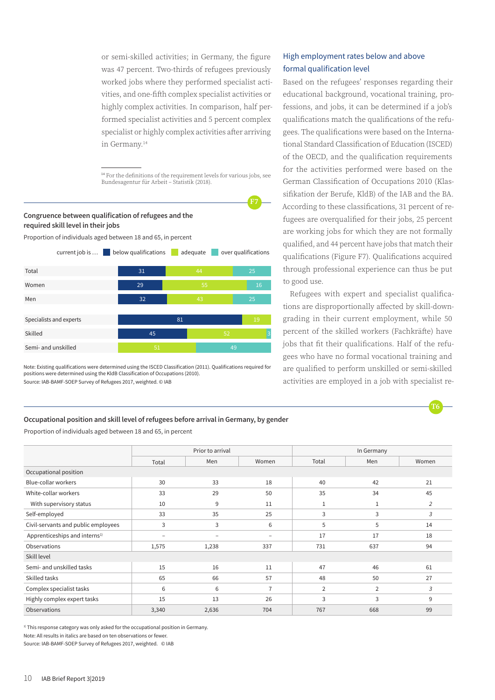or semi-skilled activities; in Germany, the figure was 47 percent. Two-thirds of refugees previously worked jobs where they performed specialist activities, and one-fifth complex specialist activities or highly complex activities. In comparison, half performed specialist activities and 5 percent complex specialist or highly complex activities after arriving in Germany.14

<sup>14</sup> For the definitions of the requirement levels for various jobs, see Bundesagentur für Arbeit – Statistik (2018).

**F7**



Proportion of individuals aged between 18 and 65, in percent



Note: Existing qualifications were determined using the ISCED Classification (2011). Qualifications required for positions were determined using the KldB Classification of Occupations (2010). Source: IAB-BAMF-SOEP Survey of Refugees 2017, weighted. © IAB

# High employment rates below and above formal qualification level

Based on the refugees' responses regarding their educational background, vocational training, professions, and jobs, it can be determined if a job's qualifications match the qualifications of the refugees. The qualifications were based on the International Standard Classification of Education (ISCED) of the OECD, and the qualification requirements for the activities performed were based on the German Classification of Occupations 2010 (Klassifikation der Berufe, KldB) of the IAB and the BA. According to these classifications, 31 percent of refugees are overqualified for their jobs, 25 percent are working jobs for which they are not formally qualified, and 44 percent have jobs that match their qualifications (Figure F7). Qualifications acquired through professional experience can thus be put to good use.

Refugees with expert and specialist qualifications are disproportionally affected by skill-downgrading in their current employment, while 50 percent of the skilled workers (Fachkräfte) have jobs that fit their qualifications. Half of the refugees who have no formal vocational training and are qualified to perform unskilled or semi-skilled activities are employed in a job with specialist re-



#### **Occupational position and skill level of refugees before arrival in Germany, by gender**

Proportion of individuals aged between 18 and 65, in percent

|                                           | Prior to arrival |                          |                          | In Germany     |                |       |  |
|-------------------------------------------|------------------|--------------------------|--------------------------|----------------|----------------|-------|--|
|                                           | Total            | Men                      | Women                    | Total          | Men            | Women |  |
| Occupational position                     |                  |                          |                          |                |                |       |  |
| Blue-collar workers                       | 30               | 33                       | 18                       | 40             | 42             | 21    |  |
| White-collar workers                      | 33               | 29                       | 50                       | 35             | 34             | 45    |  |
| With supervisory status                   | 10               | 9                        | 11                       | $\mathbf{1}$   | 1              | 2     |  |
| Self-employed                             | 33               | 35                       | 25                       | 3              | 3              | 3     |  |
| Civil-servants and public employees       | 3                | 3                        | 6                        | 5              | 5              | 14    |  |
| Apprenticeships and interns <sup>1)</sup> | -                | $\overline{\phantom{a}}$ | $\overline{\phantom{0}}$ | 17             | 17             | 18    |  |
| Observations                              | 1,575            | 1,238                    | 337                      | 731            | 637            | 94    |  |
| Skill level                               |                  |                          |                          |                |                |       |  |
| Semi- and unskilled tasks                 | 15               | 16                       | 11                       | 47             | 46             | 61    |  |
| Skilled tasks                             | 65               | 66                       | 57                       | 48             | 50             | 27    |  |
| Complex specialist tasks                  | 6                | 6                        | $\overline{7}$           | $\overline{2}$ | $\overline{2}$ | 3     |  |
| Highly complex expert tasks               | 15               | 13                       | 26                       | 3              | 3              | 9     |  |
| Observations                              | 3,340            | 2,636                    | 704                      | 767            | 668            | 99    |  |

<sup>1)</sup> This response category was only asked for the occupational position in Germany. Note: All results in italics are based on ten observations or fewer.

Source: IAB-BAMF-SOEP Survey of Refugees 2017, weighted. © IAB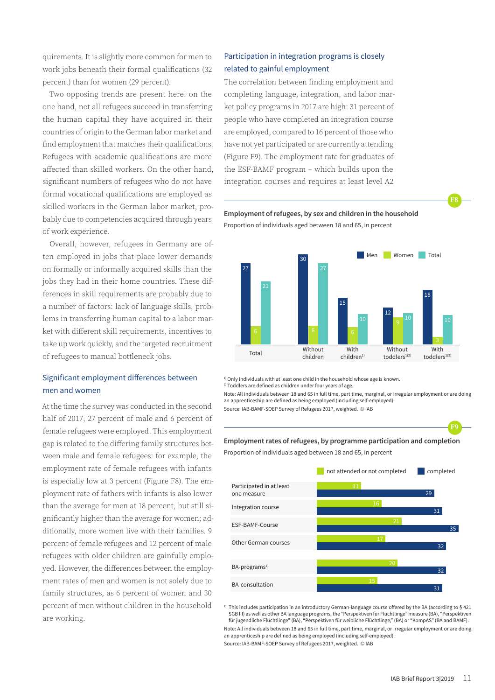quirements. It is slightly more common for men to work jobs beneath their formal qualifications (32 percent) than for women (29 percent).

Two opposing trends are present here: on the one hand, not all refugees succeed in transferring the human capital they have acquired in their countries of origin to the German labor market and find employment that matches their qualifications. Refugees with academic qualifications are more affected than skilled workers. On the other hand, significant numbers of refugees who do not have formal vocational qualifications are employed as skilled workers in the German labor market, probably due to competencies acquired through years of work experience.

Overall, however, refugees in Germany are often employed in jobs that place lower demands on formally or informally acquired skills than the jobs they had in their home countries. These differences in skill requirements are probably due to a number of factors: lack of language skills, problems in transferring human capital to a labor market with different skill requirements, incentives to take up work quickly, and the targeted recruitment of refugees to manual bottleneck jobs.

# Significant employment differences between men and women

At the time the survey was conducted in the second half of 2017, 27 percent of male and 6 percent of female refugees were employed. This employment gap is related to the differing family structures between male and female refugees: for example, the employment rate of female refugees with infants is especially low at 3 percent (Figure F8). The employment rate of fathers with infants is also lower than the average for men at 18 percent, but still significantly higher than the average for women; additionally, more women live with their families. 9 percent of female refugees and 12 percent of male refugees with older children are gainfully employed. However, the differences between the employment rates of men and women is not solely due to family structures, as 6 percent of women and 30 percent of men without children in the household are working.

# Participation in integration programs is closely related to gainful employment

The correlation between finding employment and completing language, integration, and labor market policy programs in 2017 are high: 31 percent of people who have completed an integration course are employed, compared to 16 percent of those who have not yet participated or are currently attending (Figure F9). The employment rate for graduates of the ESF-BAMF program – which builds upon the integration courses and requires at least level A2





<sup>1)</sup> Only individuals with at least one child in the household whose age is known.

2) Toddlers are defined as children under four years of age.

Note: All individuals between 18 and 65 in full time, part time, marginal, or irregular employment or are doing an apprenticeship are defined as being employed (including self-employed).

Source: IAB-BAMF-SOEP Survey of Refugees 2017, weighted. © IAB

#### **Employment rates of refugees, by programme participation and completion**

Proportion of individuals aged between 18 and 65, in percent



<sup>1)</sup> This includes participation in an introductory German-language course offered by the BA (according to § 421 SGB III) as well as other BA language programs,the "Perspektiven für Flüchtlinge" measure (BA), "Perspektiven für jugendliche Flüchtlinge" (BA), "Perspektiven für weibliche Flüchtlinge," (BA) or "KompAS" (BA and BAMF). Note: All individuals between 18 and 65 in full time, part time, marginal, or irregular employment or are doing an apprenticeship are defined as being employed (including self-employed).

Source: IAB-BAMF-SOEP Survey of Refugees 2017, weighted. © IAB

**F8**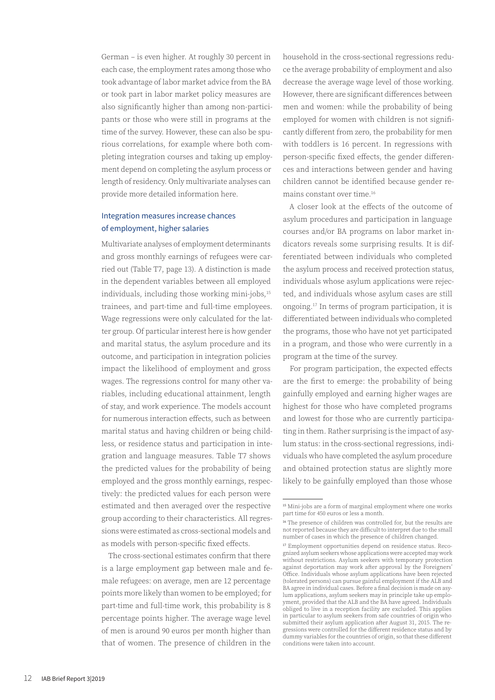German – is even higher. At roughly 30 percent in each case, the employment rates among those who took advantage of labor market advice from the BA or took part in labor market policy measures are also significantly higher than among non-participants or those who were still in programs at the time of the survey. However, these can also be spurious correlations, for example where both completing integration courses and taking up employment depend on completing the asylum process or length of residency. Only multivariate analyses can provide more detailed information here.

# Integration measures increase chances of employment, higher salaries

Multivariate analyses of employment determinants and gross monthly earnings of refugees were carried out (Table T7, page 13). A distinction is made in the dependent variables between all employed individuals, including those working mini-jobs,<sup>15</sup> trainees, and part-time and full-time employees. Wage regressions were only calculated for the latter group. Of particular interest here is how gender and marital status, the asylum procedure and its outcome, and participation in integration policies impact the likelihood of employment and gross wages. The regressions control for many other variables, including educational attainment, length of stay, and work experience. The models account for numerous interaction effects, such as between marital status and having children or being childless, or residence status and participation in integration and language measures. Table T7 shows the predicted values for the probability of being employed and the gross monthly earnings, respectively: the predicted values for each person were estimated and then averaged over the respective group according to their characteristics. All regressions were estimated as cross-sectional models and as models with person-specific fixed effects.

The cross-sectional estimates confirm that there is a large employment gap between male and female refugees: on average, men are 12 percentage points more likely than women to be employed; for part-time and full-time work, this probability is 8 percentage points higher. The average wage level of men is around 90 euros per month higher than that of women. The presence of children in the

household in the cross-sectional regressions reduce the average probability of employment and also decrease the average wage level of those working. However, there are significant differences between men and women: while the probability of being employed for women with children is not significantly different from zero, the probability for men with toddlers is 16 percent. In regressions with person-specific fixed effects, the gender differences and interactions between gender and having children cannot be identified because gender remains constant over time.16

A closer look at the effects of the outcome of asylum procedures and participation in language courses and/or BA programs on labor market indicators reveals some surprising results. It is differentiated between individuals who completed the asylum process and received protection status, individuals whose asylum applications were rejected, and individuals whose asylum cases are still ongoing.17 In terms of program participation, it is differentiated between individuals who completed the programs, those who have not yet participated in a program, and those who were currently in a program at the time of the survey.

For program participation, the expected effects are the first to emerge: the probability of being gainfully employed and earning higher wages are highest for those who have completed programs and lowest for those who are currently participating in them. Rather surprising is the impact of asylum status: in the cross-sectional regressions, individuals who have completed the asylum procedure and obtained protection status are slightly more likely to be gainfully employed than those whose

<sup>15</sup> Mini-jobs are a form of marginal employment where one works part time for 450 euros or less a month.

<sup>&</sup>lt;sup>16</sup> The presence of children was controlled for, but the results are not reported because they are difficult to interpret due to the small number of cases in which the presence of children changed.

<sup>17</sup> Employment opportunities depend on residence status. Recognized asylum seekers whose applications were accepted may work without restrictions. Asylum seekers with temporary protection against deportation may work after approval by the Foreigners' Office. Individuals whose asylum applications have been rejected (tolerated persons) can pursue gainful employment if the ALB and BA agree in individual cases. Before a final decision is made on asylum applications, asylum seekers may in principle take up employment, provided that the ALB and the BA have agreed. Individuals obliged to live in a reception facility are excluded. This applies in particular to asylum seekers from safe countries of origin who submitted their asylum application after August 31, 2015. The regressions were controlled for the different residence status and by dummy variables for the countries of origin, so that these different conditions were taken into account.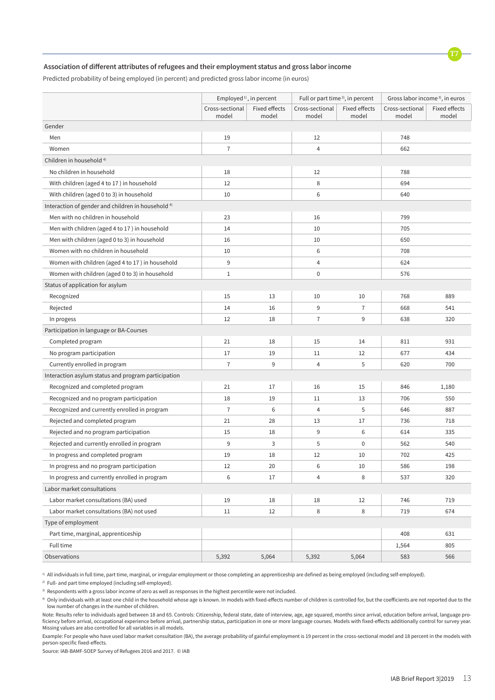

#### **Association of different attributes of refugees and their employment status and gross labor income**

Predicted probability of being employed (in percent) and predicted gross labor income (in euros)

|                                                               | Employed <sup>1)</sup> , in percent |                      | Full or part time <sup>2)</sup> , in percent |                      | Gross labor income <sup>3)</sup> , in euros |               |
|---------------------------------------------------------------|-------------------------------------|----------------------|----------------------------------------------|----------------------|---------------------------------------------|---------------|
|                                                               | Cross-sectional                     | <b>Fixed effects</b> | Cross-sectional                              | <b>Fixed effects</b> | Cross-sectional                             | Fixed effects |
|                                                               | model                               | model                | model                                        | model                | model                                       | model         |
| Gender                                                        |                                     |                      |                                              |                      |                                             |               |
| Men                                                           | 19                                  |                      | 12                                           |                      | 748                                         |               |
| Women                                                         | $\overline{7}$                      |                      | $\overline{4}$                               |                      | 662                                         |               |
| Children in household <sup>4)</sup>                           |                                     |                      |                                              |                      |                                             |               |
| No children in household                                      | 18                                  |                      | 12                                           |                      | 788                                         |               |
| With children (aged 4 to 17) in household                     | 12                                  |                      | 8                                            |                      | 694                                         |               |
| With children (aged 0 to 3) in household                      | 10                                  |                      | 6                                            |                      | 640                                         |               |
| Interaction of gender and children in household <sup>4)</sup> |                                     |                      |                                              |                      |                                             |               |
| Men with no children in household                             | 23                                  |                      | 16                                           |                      | 799                                         |               |
| Men with children (aged 4 to 17) in household                 | 14                                  |                      | 10                                           |                      | 705                                         |               |
| Men with children (aged 0 to 3) in household                  | 16                                  |                      | 10                                           |                      | 650                                         |               |
| Women with no children in household                           | 10                                  |                      | $\,6$                                        |                      | 708                                         |               |
| Women with children (aged 4 to 17) in household               | 9                                   |                      | $\overline{4}$                               |                      | 624                                         |               |
| Women with children (aged 0 to 3) in household                | $1\,$                               |                      | $\boldsymbol{0}$                             |                      | 576                                         |               |
| Status of application for asylum                              |                                     |                      |                                              |                      |                                             |               |
| Recognized                                                    | 15                                  | 13                   | 10                                           | 10                   | 768                                         | 889           |
| Rejected                                                      | 14                                  | 16                   | 9                                            | $\overline{7}$       | 668                                         | 541           |
| In progess                                                    | 12                                  | 18                   | $\overline{7}$                               | 9                    | 638                                         | 320           |
| Participation in language or BA-Courses                       |                                     |                      |                                              |                      |                                             |               |
| Completed program                                             | 21                                  | 18                   | 15                                           | 14                   | 811                                         | 931           |
| No program participation                                      | 17                                  | 19                   | 11                                           | 12                   | 677                                         | 434           |
| Currently enrolled in program                                 | $\overline{7}$                      | 9                    | $\overline{4}$                               | 5                    | 620                                         | 700           |
| Interaction asylum status and program participation           |                                     |                      |                                              |                      |                                             |               |
| Recognized and completed program                              | 21                                  | 17                   | 16                                           | 15                   | 846                                         | 1,180         |
| Recognized and no program participation                       | 18                                  | 19                   | 11                                           | 13                   | 706                                         | 550           |
| Recognized and currently enrolled in program                  | $\overline{7}$                      | 6                    | $\overline{4}$                               | 5                    | 646                                         | 887           |
| Rejected and completed program                                | 21                                  | 28                   | 13                                           | 17                   | 736                                         | 718           |
| Rejected and no program participation                         | 15                                  | 18                   | 9                                            | 6                    | 614                                         | 335           |
| Rejected and currently enrolled in program                    | $\boldsymbol{9}$                    | 3                    | 5                                            | $\mathbf 0$          | 562                                         | 540           |
| In progress and completed program                             | 19                                  | 18                   | 12                                           | 10                   | 702                                         | 425           |
| In progress and no program participation                      | 12                                  | 20                   | 6                                            | 10                   | 586                                         | 198           |
| In progress and currently enrolled in program                 | 6                                   | 17                   | 4                                            | 8                    | 537                                         | 320           |
| Labor market consultations                                    |                                     |                      |                                              |                      |                                             |               |
| Labor market consultations (BA) used                          | 19                                  | 18                   | 18                                           | 12                   | 746                                         | 719           |
| Labor market consultations (BA) not used                      | 11                                  | 12                   | 8                                            | 8                    | 719                                         | 674           |
| Type of employment                                            |                                     |                      |                                              |                      |                                             |               |
| Part time, marginal, apprenticeship                           |                                     |                      |                                              |                      | 408                                         | 631           |
| Full time                                                     |                                     |                      |                                              |                      | 1,564                                       | 805           |
| Observations                                                  | 5,392                               | 5,064                | 5,392                                        | 5,064                | 583                                         | 566           |

1) All individuals in full time, part time, marginal, or irregular employment or those completing an apprenticeship are defined as being employed (including self-employed).

<sup>2)</sup> Full- and part time employed (including self-employed).

<sup>3)</sup> Respondents with a gross labor income of zero as well as responses in the highest percentile were not included.

4) Only individuals with at least one child in the household whose age is known. In models with fixed-effects number of children is controlled for, but the coefficients are not reported due to the low number of changes in the number of children.

Note: Results refer to individuals aged between 18 and 65. Controls: Citizenship, federal state, date of interview, age, age squared, months since arrival, education before arrival, language proficiency before arrival, occupational experience before arrival, partnership status, participation in one or more language courses. Models with fixed-effects additionally control for survey year. Missing values are also controlled for all variables in all models.

Example: For people who have used labor market consultation (BA), the average probability of gainful employment is 19 percent in the cross-sectional model and 18 percent in the models with person-specific fixed-effects.

Source: IAB-BAMF-SOEP Survey of Refugees 2016 and 2017. © IAB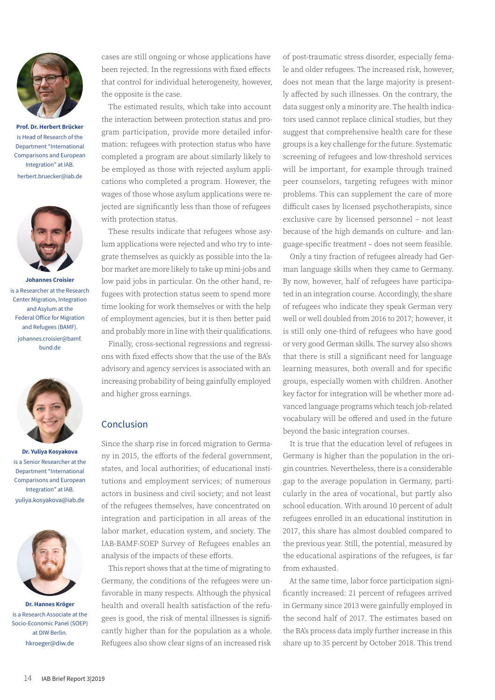

**Prof. Dr. Herbert Brücker** is Head of Research of the Department "International Comparisons and European Integration" at IAB. herbert.bruecker@iab.de



**Johannes Croisier** is a Researcher at the Research Center Migration, Integration and Asylum at the Federal Office for Migration and Refugees (BAMF). johannes.croisier@bamf. bund.de



**Dr. Yuliya Kosyakova** is a Senior Researcher at the Department "International Comparisons and European Integration" at IAB. yuliya.kosyakova@iab.de



**Dr. Hannes Kröger** is a Research Associate at the Socio-Economic Panel (SOEP) at DIW Berlin. hkroeger@diw.de

cases are still ongoing or whose applications have been rejected. In the regressions with fixed effects that control for individual heterogeneity, however, the opposite is the case.

The estimated results, which take into account the interaction between protection status and program participation, provide more detailed information: refugees with protection status who have completed a program are about similarly likely to be employed as those with rejected asylum applications who completed a program. However, the wages of those whose asylum applications were rejected are significantly less than those of refugees with protection status.

These results indicate that refugees whose asylum applications were rejected and who try to integrate themselves as quickly as possible into the labor market are more likely to take up mini-jobs and low paid jobs in particular. On the other hand, refugees with protection status seem to spend more time looking for work themselves or with the help of employment agencies, but it is then better paid and probably more in line with their qualifications.

Finally, cross-sectional regressions and regressions with fixed effects show that the use of the BA's advisory and agency services is associated with an increasing probability of being gainfully employed and higher gross earnings.

# Conclusion

Since the sharp rise in forced migration to Germany in 2015, the efforts of the federal government, states, and local authorities; of educational institutions and employment services; of numerous actors in business and civil society; and not least of the refugees themselves, have concentrated on integration and participation in all areas of the labor market, education system, and society. The IAB-BAMF-SOEP Survey of Refugees enables an analysis of the impacts of these efforts.

This report shows that at the time of migrating to Germany, the conditions of the refugees were unfavorable in many respects. Although the physical health and overall health satisfaction of the refugees is good, the risk of mental illnesses is significantly higher than for the population as a whole. Refugees also show clear signs of an increased risk

of post-traumatic stress disorder, especially female and older refugees. The increased risk, however, does not mean that the large majority is presently affected by such illnesses. On the contrary, the data suggest only a minority are. The health indicators used cannot replace clinical studies, but they suggest that comprehensive health care for these groups is a key challenge for the future. Systematic screening of refugees and low-threshold services will be important, for example through trained peer counselors, targeting refugees with minor problems. This can supplement the care of more difficult cases by licensed psychotherapists, since exclusive care by licensed personnel – not least because of the high demands on culture- and language-specific treatment – does not seem feasible.

Only a tiny fraction of refugees already had German language skills when they came to Germany. By now, however, half of refugees have participated in an integration course. Accordingly, the share of refugees who indicate they speak German very well or well doubled from 2016 to 2017; however, it is still only one-third of refugees who have good or very good German skills. The survey also shows that there is still a significant need for language learning measures, both overall and for specific groups, especially women with children. Another key factor for integration will be whether more advanced language programs which teach job-related vocabulary will be offered and used in the future beyond the basic integration courses.

It is true that the education level of refugees in Germany is higher than the population in the origin countries. Nevertheless, there is a considerable gap to the average population in Germany, particularly in the area of vocational, but partly also school education. With around 10 percent of adult refugees enrolled in an educational institution in 2017, this share has almost doubled compared to the previous year. Still, the potential, measured by the educational aspirations of the refugees, is far from exhausted.

At the same time, labor force participation significantly increased: 21 percent of refugees arrived in Germany since 2013 were gainfully employed in the second half of 2017. The estimates based on the BA's process data imply further increase in this share up to 35 percent by October 2018. This trend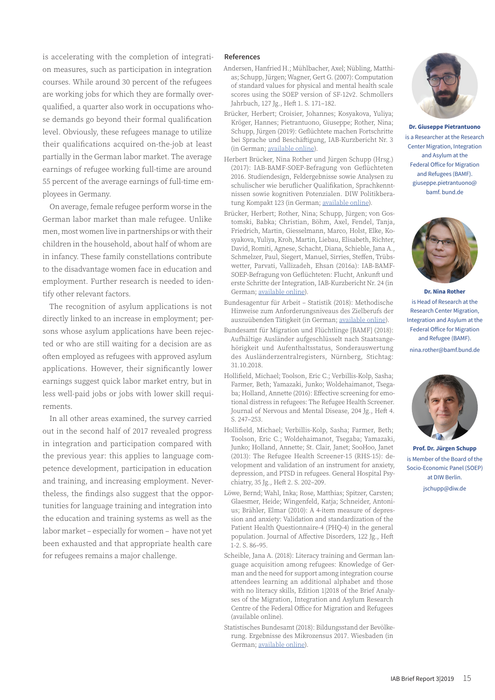is accelerating with the completion of integration measures, such as participation in integration courses. While around 30 percent of the refugees are working jobs for which they are formally overqualified, a quarter also work in occupations whose demands go beyond their formal qualification level. Obviously, these refugees manage to utilize their qualifications acquired on-the-job at least partially in the German labor market. The average earnings of refugee working full-time are around 55 percent of the average earnings of full-time employees in Germany.

On average, female refugee perform worse in the German labor market than male refugee. Unlike men, most women live in partnerships or with their children in the household, about half of whom are in infancy. These family constellations contribute to the disadvantage women face in education and employment. Further research is needed to identify other relevant factors.

The recognition of asylum applications is not directly linked to an increase in employment; persons whose asylum applications have been rejected or who are still waiting for a decision are as often employed as refugees with approved asylum applications. However, their significantly lower earnings suggest quick labor market entry, but in less well-paid jobs or jobs with lower skill requirements.

In all other areas examined, the survey carried out in the second half of 2017 revealed progress in integration and participation compared with the previous year: this applies to language competence development, participation in education and training, and increasing employment. Nevertheless, the findings also suggest that the opportunities for language training and integration into the education and training systems as well as the labor market – especially for women – have not yet been exhausted and that appropriate health care for refugees remains a major challenge.

#### **References**

- Andersen, Hanfried H.; Mühlbacher, Axel; Nübling, Matthias; Schupp, Jürgen; Wagner, Gert G. (2007): Computation of standard values for physical and mental health scale scores using the SOEP version of SF-12v2. Schmollers Jahrbuch, 127 Jg., Heft 1. S. 171–182.
- Brücker, Herbert; Croisier, Johannes; Kosyakova, Yuliya; Kröger, Hannes; Pietrantuono, Giuseppe; Rother, Nina; Schupp, Jürgen (2019): Geflüchtete machen Fortschritte bei Sprache und Beschäftigung, IAB-Kurzbericht Nr. 3 (in German; [available online\)](http://www.iab.de/194/section.aspx/Publikation/k190122v01).
- Herbert Brücker, Nina Rother und Jürgen Schupp (Hrsg.) (2017): IAB-BAMF-SOEP-Befragung von Geflüchteten 2016. Studiendesign, Feldergebnisse sowie Analysen zu schulischer wie beruflicher Qualifikation, Sprachkenntnissen sowie kognitiven Potenzialen. DIW Politikberatung Kompakt 123 (in German; [available online\)](https://www.bamf.de/SharedDocs/Anlagen/DE/Publikationen/Forschungsberichte/fb30-iab-bamf-soep-befragung-gefluechtete-2016.pdf?__blob=publicationFile).
- Brücker, Herbert; Rother, Nina; Schupp, Jürgen; von Gostomski, Babka; Christian, Böhm, Axel, Fendel, Tanja, Friedrich, Martin, Giesselmann, Marco, Holst, Elke, Kosyakova, Yuliya, Kroh, Martin, Liebau, Elisabeth, Richter, David, Romiti, Agnese, Schacht, Diana, Schieble, Jana A., Schmelzer, Paul, Siegert, Manuel, Sirries, Steffen, Trübswetter, Parvati, Vallizadeh, Ehsan (2016a): IAB-BAMF-SOEP-Befragung von Geflüchteten: Flucht, Ankunft und erste Schritte der Integration, [IAB-Kurzbericht Nr. 24](http://www.iab.de/194/section.aspx/Publikation/k161111301) (in German; [available online\)](https://www.bamf.de/SharedDocs/Anlagen/DE/Publikationen/Forschungsberichte/fb30-iab-bamf-soep-befragung-gefluechtete-2016.pdf?__blob=publicationFile).
- Bundesagentur für Arbeit Statistik (2018): Methodische Hinweise zum Anforderungsniveaus des Zielberufs der auszuübenden Tätigkeit (in German; [available online\)](https://statistik.arbeitsagentur.de/nn_4236/Statischer-Content/Grundlagen/Methodische-Hinweise/AST-MethHinweise/Anforderungsniveau-Berufe.html).
- Bundesamt für Migration und Flüchtlinge [BAMF] (2018): Aufhältige Ausländer aufgeschlüsselt nach Staatsangehörigkeit und Aufenthaltsstatus, Sonderauswertung des Ausländerzentralregisters, Nürnberg, Stichtag: 31.10.2018.
- Hollifield, Michael; Toolson, Eric C.; Verbillis-Kolp, Sasha; Farmer, Beth; Yamazaki, Junko; Woldehaimanot, Tsegaba; Holland, Annette (2016): Effective screening for emotional distress in refugees: The Refugee Health Screener. Journal of Nervous and Mental Disease, 204 Jg., Heft 4. S. 247–253.
- Hollifield, Michael; Verbillis-Kolp, Sasha; Farmer, Beth; Toolson, Eric C.; Woldehaimanot, Tsegaba; Yamazaki, Junko; Holland, Annette; St. Clair, Janet; SooHoo, Janet (2013): The Refugee Health Screener-15 (RHS-15): development and validation of an instrument for anxiety, depression, and PTSD in refugees. General Hospital Psychiatry, 35 Jg., Heft 2. S. 202–209.
- Löwe, Bernd; Wahl, Inka; Rose, Matthias; Spitzer, Carsten; Glaesmer, Heide; Wingenfeld, Katja; Schneider, Antonius; Brähler, Elmar (2010): A 4-item measure of depression and anxiety: Validation and standardization of the Patient Health Questionnaire-4 (PHQ-4) in the general population. Journal of Affective Disorders, 122 Jg., Heft 1-2. S. 86–95.
- Scheible, Jana A. (2018): Literacy training and German language acquisition among refugees: Knowledge of German and the need for support among integration course attendees learning an additional alphabet and those with no literacy skills, Edition 1|2018 of the Brief Analyses of the Migration, Integration and Asylum Research Centre of the Federal Office for Migration and Refugees (available online).
- Statistisches Bundesamt (2018): Bildungsstand der Bevölkerung. Ergebnisse des Mikrozensus 2017. Wiesbaden (in German; [available online\)](https://www.destatis.de/DE/Publikationen/Thematisch/BildungForschungKultur/Bildungsstand/BildungsstandBevoelkerung5210002177004.pdf?__blob=publicationFile).



**Dr. Giuseppe Pietrantuono** is a Researcher at the Research Center Migration, Integration and Asylum at the Federal Office for Migration and Refugees (BAMF). giuseppe.pietrantuono@ bamf. bund.de



**Dr. Nina Rother** is Head of Research at the Research Center Migration, Integration and Asylum at the Federal Office for Migration and Refugee (BAMF). nina.rother@bamf.bund.de



**Prof. Dr. Jürgen Schupp** is Member of the Board of the Socio-Economic Panel (SOEP) at DIW Berlin. jschupp@diw.de